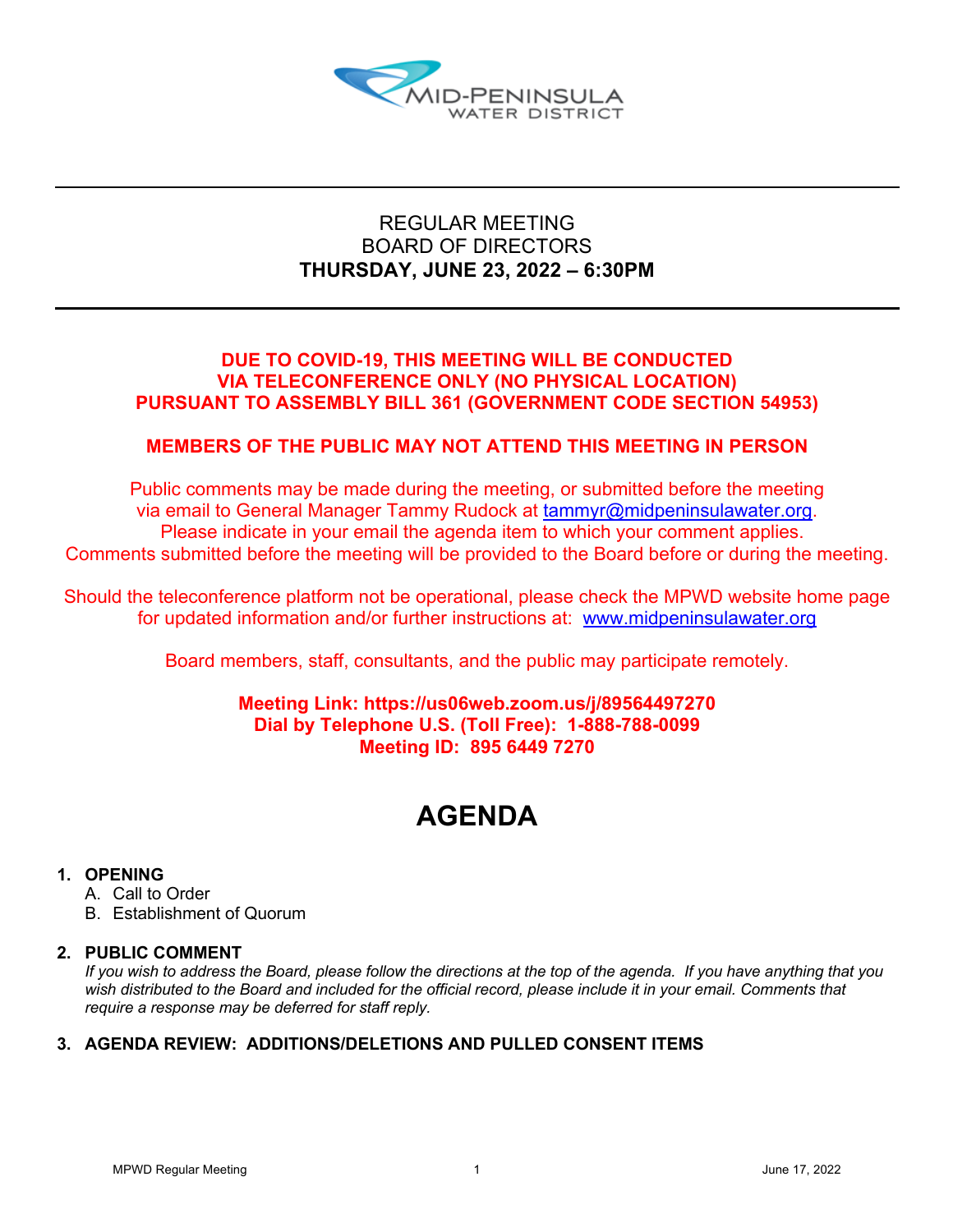

## REGULAR MEETING BOARD OF DIRECTORS **THURSDAY, JUNE 23, 2022 – 6:30PM**

## **DUE TO COVID-19, THIS MEETING WILL BE CONDUCTED VIA TELECONFERENCE ONLY (NO PHYSICAL LOCATION) PURSUANT TO ASSEMBLY BILL 361 (GOVERNMENT CODE SECTION 54953)**

## **MEMBERS OF THE PUBLIC MAY NOT ATTEND THIS MEETING IN PERSON**

Public comments may be made during the meeting, or submitted before the meeting via email to General Manager Tammy Rudock at tammyr@midpeninsulawater.org. Please indicate in your email the agenda item to which your comment applies. Comments submitted before the meeting will be provided to the Board before or during the meeting.

Should the teleconference platform not be operational, please check the MPWD website home page for updated information and/or further instructions at: www.midpeninsulawater.org

Board members, staff, consultants, and the public may participate remotely.

## **Meeting Link: https://us06web.zoom.us/j/89564497270 Dial by Telephone U.S. (Toll Free): 1-888-788-0099 Meeting ID: 895 6449 7270**

# **AGENDA**

## **1. OPENING**

- A. Call to Order
- B. Establishment of Quorum

## **2. PUBLIC COMMENT**

*If you wish to address the Board, please follow the directions at the top of the agenda. If you have anything that you*  wish distributed to the Board and included for the official record, please include it in your email. Comments that *require a response may be deferred for staff reply.*

## **3. AGENDA REVIEW: ADDITIONS/DELETIONS AND PULLED CONSENT ITEMS**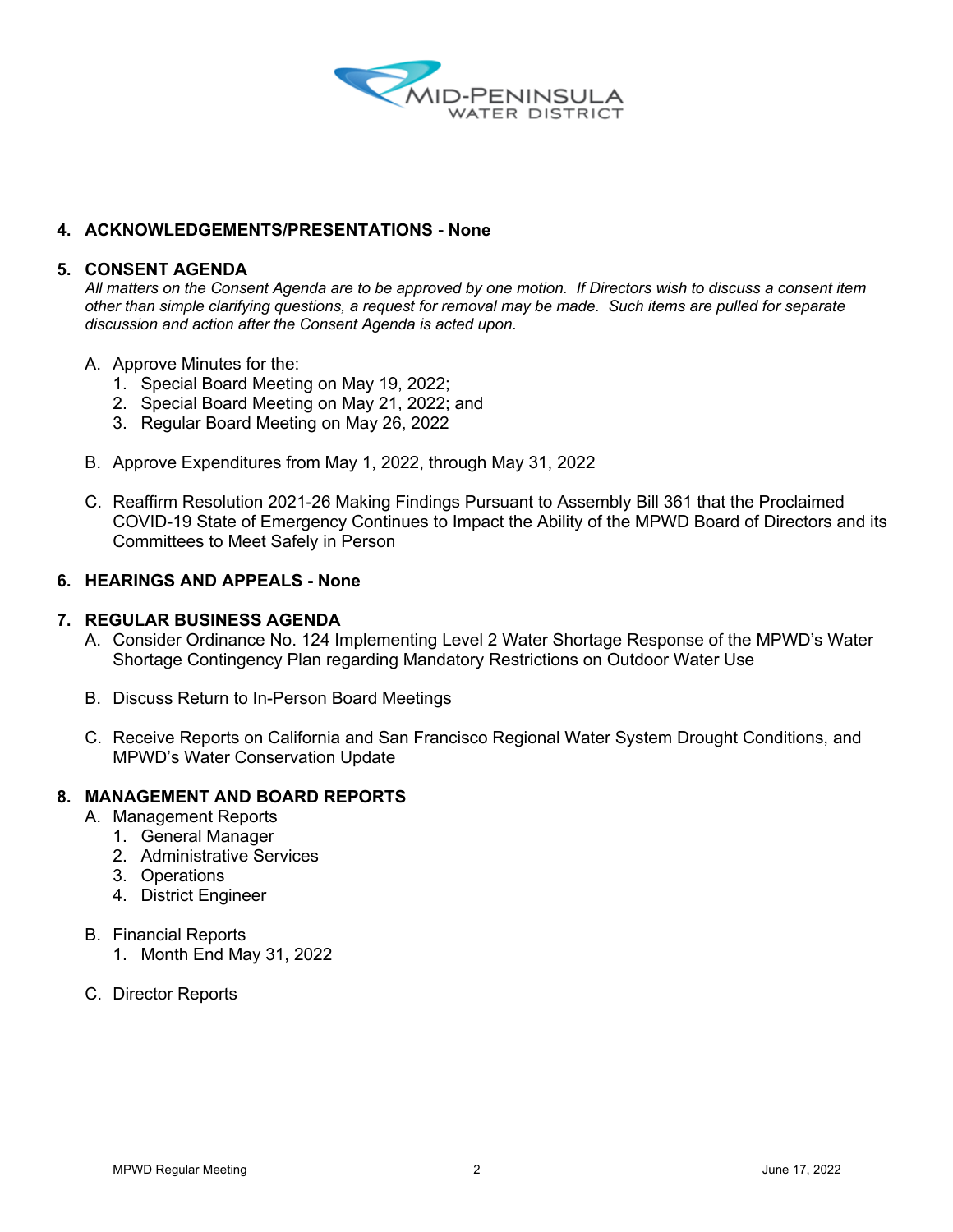

### **4. ACKNOWLEDGEMENTS/PRESENTATIONS - None**

#### **5. CONSENT AGENDA**

*All matters on the Consent Agenda are to be approved by one motion. If Directors wish to discuss a consent item other than simple clarifying questions, a request for removal may be made. Such items are pulled for separate discussion and action after the Consent Agenda is acted upon.*

- A. Approve Minutes for the:
	- 1. Special Board Meeting on May 19, 2022;
	- 2. Special Board Meeting on May 21, 2022; and
	- 3. Regular Board Meeting on May 26, 2022
- B. Approve Expenditures from May 1, 2022, through May 31, 2022
- C. Reaffirm Resolution 2021-26 Making Findings Pursuant to Assembly Bill 361 that the Proclaimed COVID-19 State of Emergency Continues to Impact the Ability of the MPWD Board of Directors and its Committees to Meet Safely in Person

#### **6. HEARINGS AND APPEALS - None**

#### **7. REGULAR BUSINESS AGENDA**

- A. Consider Ordinance No. 124 Implementing Level 2 Water Shortage Response of the MPWD's Water Shortage Contingency Plan regarding Mandatory Restrictions on Outdoor Water Use
- B. Discuss Return to In-Person Board Meetings
- C. Receive Reports on California and San Francisco Regional Water System Drought Conditions, and MPWD's Water Conservation Update

#### **8. MANAGEMENT AND BOARD REPORTS**

- A. Management Reports
	- 1. General Manager
	- 2. Administrative Services
	- 3. Operations
	- 4. District Engineer
- B. Financial Reports
	- 1. Month End May 31, 2022
- C. Director Reports